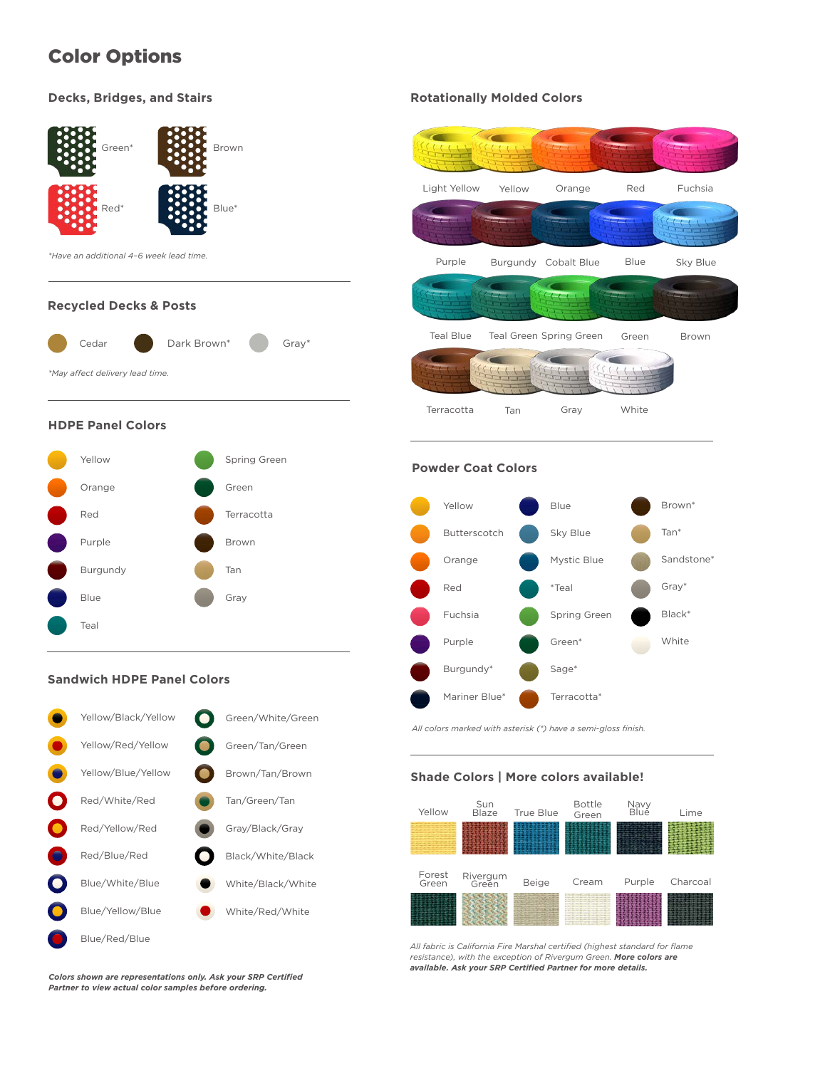# Color Options

### **Decks, Bridges, and Stairs**



#### **Recycled Decks & Posts**



#### **HDPE Panel Colors**



#### **Sandwich HDPE Panel Colors**



#### **Rotationally Molded Colors**



#### **Powder Coat Colors**



*All colors marked with asterisk (\*) have a semi-gloss finish.* 

#### **Shade Colors | More colors available!**



*All fabric is California Fire Marshal certified (highest standard for flame resistance), with the exception of Rivergum Green. More colors are available. Ask your SRP Certified Partner for more details.*

*Colors shown are representations only. Ask your SRP Certified Partner to view actual color samples before ordering.*